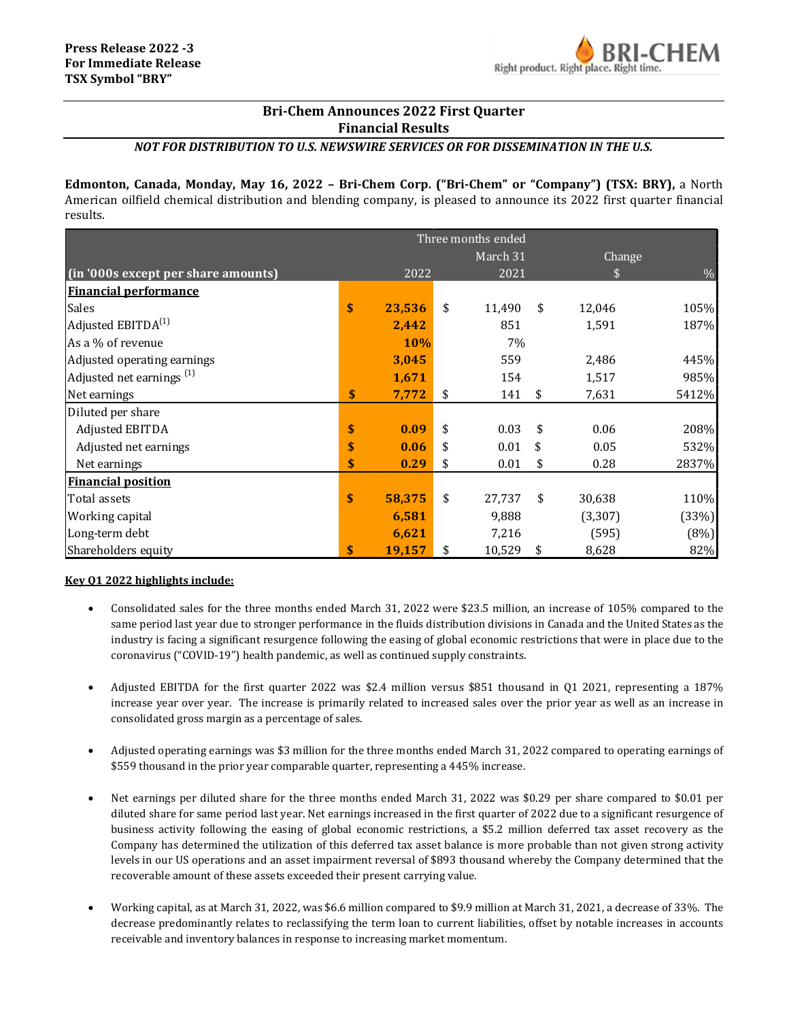# **Bri-Chem Announces 2022 First Quarter Financial Results**

# *NOT FOR DISTRIBUTION TO U.S. NEWSWIRE SERVICES OR FOR DISSEMINATION IN THE U.S.*

**Edmonton, Canada, Monday, May 16, 2022 – Bri-Chem Corp. ("Bri-Chem" or "Company") (TSX: BRY),** a North American oilfield chemical distribution and blending company, is pleased to announce its 2022 first quarter financial results.

|                                      | Three months ended |            |    |          |    |          |               |
|--------------------------------------|--------------------|------------|----|----------|----|----------|---------------|
|                                      |                    |            |    | March 31 |    | Change   |               |
| (in '000s except per share amounts)  |                    | 2022       |    | 2021     |    | \$       | $\frac{0}{0}$ |
| <b>Financial performance</b>         |                    |            |    |          |    |          |               |
| Sales                                | \$                 | 23,536     | \$ | 11,490   | \$ | 12,046   | 105%          |
| Adjusted EBITDA <sup>(1)</sup>       |                    | 2,442      |    | 851      |    | 1,591    | 187%          |
| As a % of revenue                    |                    | <b>10%</b> |    | 7%       |    |          |               |
| Adjusted operating earnings          |                    | 3,045      |    | 559      |    | 2,486    | 445%          |
| Adjusted net earnings <sup>(1)</sup> |                    | 1,671      |    | 154      |    | 1,517    | 985%          |
| Net earnings                         | \$                 | 7,772      | \$ | 141      | \$ | 7,631    | 5412%         |
| Diluted per share                    |                    |            |    |          |    |          |               |
| Adjusted EBITDA                      | \$                 | 0.09       | \$ | 0.03     | \$ | 0.06     | 208%          |
| Adjusted net earnings                | \$                 | 0.06       | \$ | 0.01     | \$ | 0.05     | 532%          |
| Net earnings                         | \$                 | 0.29       | \$ | 0.01     | \$ | 0.28     | 2837%         |
| <b>Financial position</b>            |                    |            |    |          |    |          |               |
| Total assets                         | $\mathbf{\hat{S}}$ | 58,375     | \$ | 27,737   | \$ | 30,638   | 110%          |
| Working capital                      |                    | 6,581      |    | 9,888    |    | (3, 307) | (33%)         |
| Long-term debt                       |                    | 6,621      |    | 7,216    |    | (595)    | (8%)          |
| Shareholders equity                  | \$                 | 19,157     | \$ | 10,529   | \$ | 8,628    | 82%           |

## **Key Q1 2022 highlights include:**

- Consolidated sales for the three months ended March 31, 2022 were \$23.5 million, an increase of 105% compared to the same period last year due to stronger performance in the fluids distribution divisions in Canada and the United States as the industry is facing a significant resurgence following the easing of global economic restrictions that were in place due to the coronavirus ("COVID-19") health pandemic, as well as continued supply constraints.
- Adjusted EBITDA for the first quarter 2022 was \$2.4 million versus \$851 thousand in Q1 2021, representing a 187% increase year over year. The increase is primarily related to increased sales over the prior year as well as an increase in consolidated gross margin as a percentage of sales.
- Adjusted operating earnings was \$3 million for the three months ended March 31, 2022 compared to operating earnings of \$559 thousand in the prior year comparable quarter, representing a 445% increase.
- Net earnings per diluted share for the three months ended March 31, 2022 was \$0.29 per share compared to \$0.01 per diluted share for same period last year. Net earnings increased in the first quarter of 2022 due to a significant resurgence of business activity following the easing of global economic restrictions, a \$5.2 million deferred tax asset recovery as the Company has determined the utilization of this deferred tax asset balance is more probable than not given strong activity levels in our US operations and an asset impairment reversal of \$893 thousand whereby the Company determined that the recoverable amount of these assets exceeded their present carrying value.
- Working capital, as at March 31, 2022, was \$6.6 million compared to \$9.9 million at March 31, 2021, a decrease of 33%. The decrease predominantly relates to reclassifying the term loan to current liabilities, offset by notable increases in accounts receivable and inventory balances in response to increasing market momentum.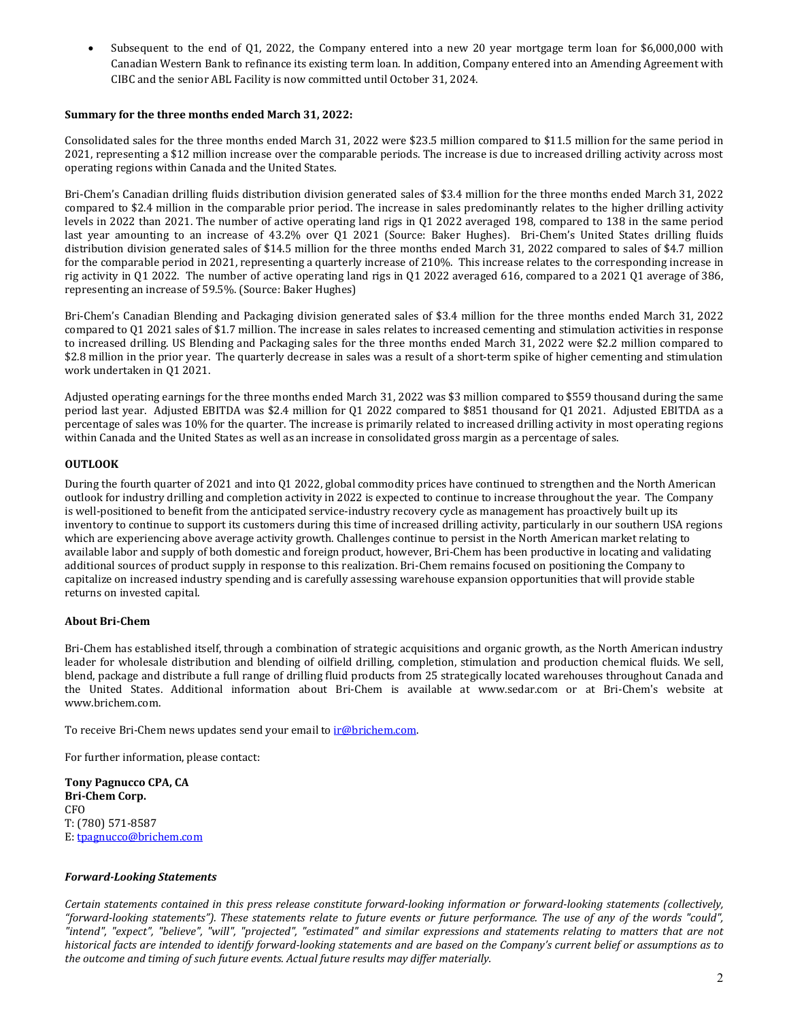• Subsequent to the end of Q1, 2022, the Company entered into a new 20 year mortgage term loan for \$6,000,000 with Canadian Western Bank to refinance its existing term loan. In addition, Company entered into an Amending Agreement with CIBC and the senior ABL Facility is now committed until October 31, 2024.

### **Summary for the three months ended March 31, 2022:**

Consolidated sales for the three months ended March 31, 2022 were \$23.5 million compared to \$11.5 million for the same period in 2021, representing a \$12 million increase over the comparable periods. The increase is due to increased drilling activity across most operating regions within Canada and the United States.

Bri-Chem's Canadian drilling fluids distribution division generated sales of \$3.4 million for the three months ended March 31, 2022 compared to \$2.4 million in the comparable prior period. The increase in sales predominantly relates to the higher drilling activity levels in 2022 than 2021. The number of active operating land rigs in Q1 2022 averaged 198, compared to 138 in the same period last year amounting to an increase of 43.2% over Q1 2021 (Source: Baker Hughes). Bri-Chem's United States drilling fluids distribution division generated sales of \$14.5 million for the three months ended March 31, 2022 compared to sales of \$4.7 million for the comparable period in 2021, representing a quarterly increase of 210%. This increase relates to the corresponding increase in rig activity in Q1 2022. The number of active operating land rigs in Q1 2022 averaged 616, compared to a 2021 Q1 average of 386, representing an increase of 59.5%. (Source: Baker Hughes)

Bri-Chem's Canadian Blending and Packaging division generated sales of \$3.4 million for the three months ended March 31, 2022 compared to Q1 2021 sales of \$1.7 million. The increase in sales relates to increased cementing and stimulation activities in response to increased drilling. US Blending and Packaging sales for the three months ended March 31, 2022 were \$2.2 million compared to \$2.8 million in the prior year. The quarterly decrease in sales was a result of a short-term spike of higher cementing and stimulation work undertaken in Q1 2021.

Adjusted operating earnings for the three months ended March 31, 2022 was \$3 million compared to \$559 thousand during the same period last year. Adjusted EBITDA was \$2.4 million for Q1 2022 compared to \$851 thousand for Q1 2021. Adjusted EBITDA as a percentage of sales was 10% for the quarter. The increase is primarily related to increased drilling activity in most operating regions within Canada and the United States as well as an increase in consolidated gross margin as a percentage of sales.

### **OUTLOOK**

During the fourth quarter of 2021 and into Q1 2022, global commodity prices have continued to strengthen and the North American outlook for industry drilling and completion activity in 2022 is expected to continue to increase throughout the year. The Company is well-positioned to benefit from the anticipated service-industry recovery cycle as management has proactively built up its inventory to continue to support its customers during this time of increased drilling activity, particularly in our southern USA regions which are experiencing above average activity growth. Challenges continue to persist in the North American market relating to available labor and supply of both domestic and foreign product, however, Bri-Chem has been productive in locating and validating additional sources of product supply in response to this realization. Bri-Chem remains focused on positioning the Company to capitalize on increased industry spending and is carefully assessing warehouse expansion opportunities that will provide stable returns on invested capital.

#### **About Bri-Chem**

Bri-Chem has established itself, through a combination of strategic acquisitions and organic growth, as the North American industry leader for wholesale distribution and blending of oilfield drilling, completion, stimulation and production chemical fluids. We sell, blend, package and distribute a full range of drilling fluid products from 25 strategically located warehouses throughout Canada and the United States. Additional information about Bri-Chem is available at [www.sedar.com](http://www.sedar.com/) or at Bri-Chem's website at [www.brichem.com.](http://www.brichem.com/)

To receive Bri-Chem news updates send your email to *ir@brichem.com*.

For further information, please contact:

**Tony Pagnucco CPA, CA Bri-Chem Corp.** CFO T: (780) 571-8587 E: [tpagnucco@brichem.com](mailto:tpagnucco@brichem.com)

#### *Forward-Looking Statements*

*Certain statements contained in this press release constitute forward-looking information or forward-looking statements (collectively, "forward-looking statements"). These statements relate to future events or future performance. The use of any of the words "could", "intend", "expect", "believe", "will", "projected", "estimated" and similar expressions and statements relating to matters that are not historical facts are intended to identify forward-looking statements and are based on the Company's current belief or assumptions as to the outcome and timing of such future events. Actual future results may differ materially.*